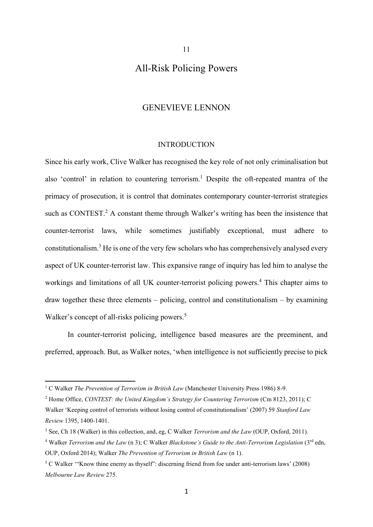# All-Risk Policing Powers

11

# GENEVIEVE LENNON

#### <span id="page-0-1"></span>INTRODUCTION

<span id="page-0-3"></span><span id="page-0-0"></span>Since his early work, Clive Walker has recognised the key role of not only criminalisation but also 'control' in relation to countering terrorism.<sup>1</sup> Despite the oft-repeated mantra of the primacy of prosecution, it is control that dominates contemporary counter-terrorist strategies such as CONTEST.<sup>2</sup> A constant theme through Walker's writing has been the insistence that counter-terrorist laws, while sometimes justifiably exceptional, must adhere to constitutionalism.<sup>3</sup> He is one of the very few scholars who has comprehensively analysed every aspect of UK counter-terrorist law. This expansive range of inquiry has led him to analyse the workings and limitations of all UK counter-terrorist policing powers.<sup>4</sup> This chapter aims to draw together these three elements – policing, control and constitutionalism – by examining Walker's concept of all-risks policing powers.<sup>5</sup>

<span id="page-0-2"></span>In counter-terrorist policing, intelligence based measures are the preeminent, and preferred, approach. But, as Walker notes, 'when intelligence is not sufficiently precise to pick

<sup>1</sup> C Walker *The Prevention of Terrorism in British Law* (Manchester University Press 1986) 8-9.

<sup>&</sup>lt;sup>2</sup> Home Office, *CONTEST*: the United Kingdom's Strategy for Countering Terrorism (Cm 8123, 2011); C

Walker 'Keeping control of terrorists without losing control of constitutionalism' (2007) 59 *Stanford Law Review* 1395, 1400-1401.

<sup>3</sup> See, Ch 18 (Walker) in this collection, and, eg, C Walker *Terrorism and the Law* (OUP, Oxford, 2011).

<sup>&</sup>lt;sup>4</sup> Walker *Terrorism and the Law* (n [3\)](#page-0-0); C Walker *Blackstone's Guide to the Anti-Terrorism Legislation* (3<sup>rd</sup> edn, OUP, Oxford 2014); Walker *The Prevention of Terrorism in British Law* ([n 1\)](#page-0-1).

<sup>&</sup>lt;sup>5</sup> C Walker "Know thine enemy as thyself": discerning friend from foe under anti-terrorism laws' (2008) *Melbourne Law Review* 275.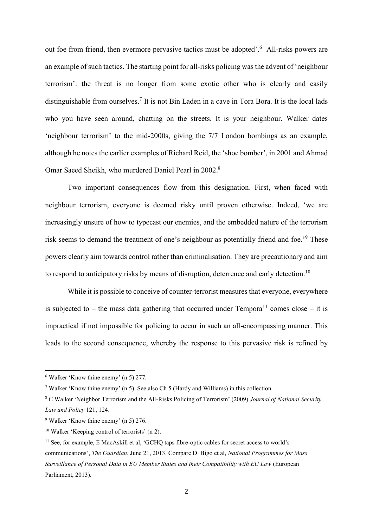out foe from friend, then evermore pervasive tactics must be adopted'. 6 All-risks powers are an example of such tactics. The starting point for all-risks policing was the advent of 'neighbour terrorism': the threat is no longer from some exotic other who is clearly and easily distinguishable from ourselves.<sup>7</sup> It is not Bin Laden in a cave in Tora Bora. It is the local lads who you have seen around, chatting on the streets. It is your neighbour. Walker dates 'neighbour terrorism' to the mid-2000s, giving the 7/7 London bombings as an example, although he notes the earlier examples of Richard Reid, the 'shoe bomber', in 2001 and Ahmad Omar Saeed Sheikh, who murdered Daniel Pearl in 2002.<sup>8</sup>

<span id="page-1-0"></span>Two important consequences flow from this designation. First, when faced with neighbour terrorism, everyone is deemed risky until proven otherwise. Indeed, 'we are increasingly unsure of how to typecast our enemies, and the embedded nature of the terrorism risk seems to demand the treatment of one's neighbour as potentially friend and foe.'<sup>9</sup> These powers clearly aim towards control rather than criminalisation. They are precautionary and aim to respond to anticipatory risks by means of disruption, deterrence and early detection.<sup>10</sup>

While it is possible to conceive of counter-terrorist measures that everyone, everywhere is subjected to – the mass data gathering that occurred under  $Tempora<sup>11</sup> comes close – it is$ impractical if not impossible for policing to occur in such an all-encompassing manner. This leads to the second consequence, whereby the response to this pervasive risk is refined by

<sup>6</sup> Walker 'Know thine enemy' (n [5\)](#page-0-2) 277.

<sup>7</sup> Walker 'Know thine enemy' (n [5\)](#page-0-2). See also Ch 5 (Hardy and Williams) in this collection.

<sup>8</sup> C Walker 'Neighbor Terrorism and the All-Risks Policing of Terrorism' (2009) *Journal of National Security Law and Policy* 121, 124.

<sup>9</sup> Walker 'Know thine enemy' (n [5\)](#page-0-2) 276.

<sup>10</sup> Walker 'Keeping control of terrorists' (n [2\)](#page-0-3).

<sup>&</sup>lt;sup>11</sup> See, for example, E MacAskill et al, 'GCHO taps fibre-optic cables for secret access to world's communications', *The Guardian*, June 21, 2013. Compare D. Bigo et al, *National Programmes for Mass Surveillance of Personal Data in EU Member States and their Compatibility with EU Law* (European Parliament, 2013).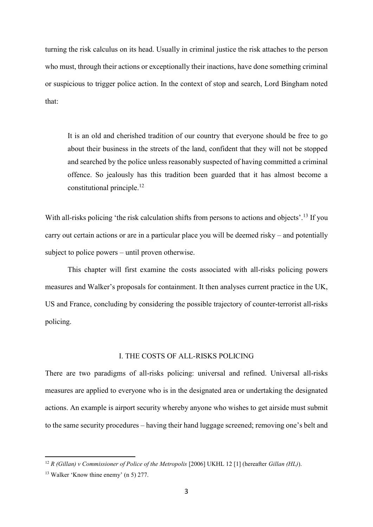turning the risk calculus on its head. Usually in criminal justice the risk attaches to the person who must, through their actions or exceptionally their inactions, have done something criminal or suspicious to trigger police action. In the context of stop and search, Lord Bingham noted that:

<span id="page-2-0"></span>It is an old and cherished tradition of our country that everyone should be free to go about their business in the streets of the land, confident that they will not be stopped and searched by the police unless reasonably suspected of having committed a criminal offence. So jealously has this tradition been guarded that it has almost become a constitutional principle.<sup>12</sup>

With all-risks policing 'the risk calculation shifts from persons to actions and objects'.<sup>13</sup> If you carry out certain actions or are in a particular place you will be deemed risky – and potentially subject to police powers – until proven otherwise.

This chapter will first examine the costs associated with all-risks policing powers measures and Walker's proposals for containment. It then analyses current practice in the UK, US and France, concluding by considering the possible trajectory of counter-terrorist all-risks policing.

## I. THE COSTS OF ALL-RISKS POLICING

There are two paradigms of all-risks policing: universal and refined. Universal all-risks measures are applied to everyone who is in the designated area or undertaking the designated actions. An example is airport security whereby anyone who wishes to get airside must submit to the same security procedures – having their hand luggage screened; removing one's belt and

<sup>12</sup> *R (Gillan) v Commissioner of Police of the Metropolis* [2006] UKHL 12 [1] (hereafter *Gillan (HL)*).

<sup>13</sup> Walker 'Know thine enemy' (n [5\)](#page-0-2) 277.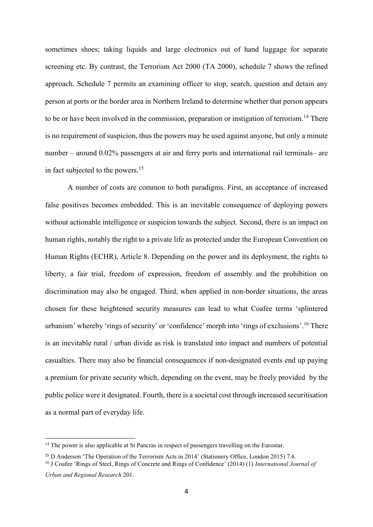sometimes shoes; taking liquids and large electronics out of hand luggage for separate screening etc. By contrast, the Terrorism Act 2000 (TA 2000), schedule 7 shows the refined approach. Schedule 7 permits an examining officer to stop, search, question and detain any person at ports or the border area in Northern Ireland to determine whether that person appears to be or have been involved in the commission, preparation or instigation of terrorism.<sup>14</sup> There is no requirement of suspicion, thus the powers may be used against anyone, but only a minute number – around 0.02% passengers at air and ferry ports and international rail terminals– are in fact subjected to the powers.<sup>15</sup>

A number of costs are common to both paradigms. First, an acceptance of increased false positives becomes embedded. This is an inevitable consequence of deploying powers without actionable intelligence or suspicion towards the subject. Second, there is an impact on human rights, notably the right to a private life as protected under the European Convention on Human Rights (ECHR), Article 8. Depending on the power and its deployment, the rights to liberty, a fair trial, freedom of expression, freedom of assembly and the prohibition on discrimination may also be engaged. Third, when applied in non-border situations, the areas chosen for these heightened security measures can lead to what Coafee terms 'splintered urbanism' whereby 'rings of security' or 'confidence' morph into 'rings of exclusions'. <sup>16</sup> There is an inevitable rural / urban divide as risk is translated into impact and numbers of potential casualties. There may also be financial consequences if non-designated events end up paying a premium for private security which, depending on the event, may be freely provided by the public police were it designated. Fourth, there is a societal cost through increased securitisation as a normal part of everyday life.

1

<sup>&</sup>lt;sup>14</sup> The power is also applicable at St Pancras in respect of passengers travelling on the Eurostar.

<sup>15</sup> D Anderson 'The Operation of the Terrorism Acts in 2014' (Stationery Office, London 2015) 7.6.

<sup>16</sup> J Coafee 'Rings of Steel, Rings of Concrete and Rings of Confidence' (2014) (1) *International Journal of Urban and Regional Research* 201.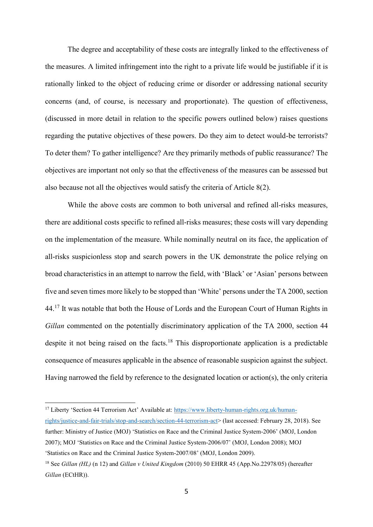The degree and acceptability of these costs are integrally linked to the effectiveness of the measures. A limited infringement into the right to a private life would be justifiable if it is rationally linked to the object of reducing crime or disorder or addressing national security concerns (and, of course, is necessary and proportionate). The question of effectiveness, (discussed in more detail in relation to the specific powers outlined below) raises questions regarding the putative objectives of these powers. Do they aim to detect would-be terrorists? To deter them? To gather intelligence? Are they primarily methods of public reassurance? The objectives are important not only so that the effectiveness of the measures can be assessed but also because not all the objectives would satisfy the criteria of Article 8(2).

While the above costs are common to both universal and refined all-risks measures, there are additional costs specific to refined all-risks measures; these costs will vary depending on the implementation of the measure. While nominally neutral on its face, the application of all-risks suspicionless stop and search powers in the UK demonstrate the police relying on broad characteristics in an attempt to narrow the field, with 'Black' or 'Asian' persons between five and seven times more likely to be stopped than 'White' persons under the TA 2000, section 44.<sup>17</sup> It was notable that both the House of Lords and the European Court of Human Rights in *Gillan* commented on the potentially discriminatory application of the TA 2000, section 44 despite it not being raised on the facts.<sup>18</sup> This disproportionate application is a predictable consequence of measures applicable in the absence of reasonable suspicion against the subject. Having narrowed the field by reference to the designated location or action(s), the only criteria

<span id="page-4-0"></span><sup>17</sup> Liberty 'Section 44 Terrorism Act' Available at: [https://www.liberty-human-rights.org.uk/human](https://www.liberty-human-rights.org.uk/human-rights/justice-and-fair-trials/stop-and-search/section-44-terrorism-act)[rights/justice-and-fair-trials/stop-and-search/section-44-terrorism-act>](https://www.liberty-human-rights.org.uk/human-rights/justice-and-fair-trials/stop-and-search/section-44-terrorism-act) (last accessed: February 28, 2018). See further: Ministry of Justice (MOJ) 'Statistics on Race and the Criminal Justice System-2006' (MOJ, London 2007); MOJ 'Statistics on Race and the Criminal Justice System-2006/07' (MOJ, London 2008); MOJ 'Statistics on Race and the Criminal Justice System-2007/08' (MOJ, London 2009).

<sup>18</sup> See *Gillan (HL)* (n [12\)](#page-2-0) and *Gillan v United Kingdom* (2010) 50 EHRR 45 (App.No.22978/05) (hereafter *Gillan* (ECtHR)).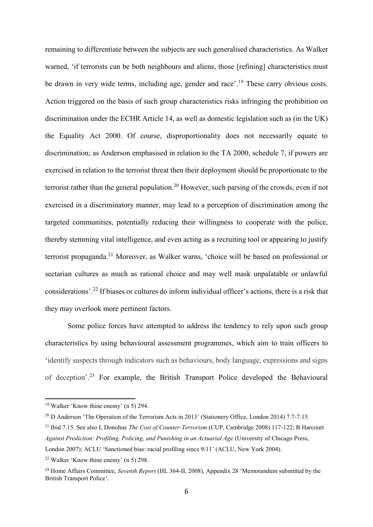<span id="page-5-0"></span>remaining to differentiate between the subjects are such generalised characteristics. As Walker warned, 'if terrorists can be both neighbours and aliens, those [refining] characteristics must be drawn in very wide terms, including age, gender and race'.<sup>19</sup> These carry obvious costs. Action triggered on the basis of such group characteristics risks infringing the prohibition on discrimination under the ECHR Article 14, as well as domestic legislation such as (in the UK) the Equality Act 2000. Of course, disproportionality does not necessarily equate to discrimination; as Anderson emphasised in relation to the TA 2000, schedule 7, if powers are exercised in relation to the terrorist threat then their deployment should be proportionate to the terrorist rather than the general population.<sup>20</sup> However, such parsing of the crowds, even if not exercised in a discriminatory manner, may lead to a perception of discrimination among the targeted communities, potentially reducing their willingness to cooperate with the police, thereby stemming vital intelligence, and even acting as a recruiting tool or appearing to justify terrorist propaganda.<sup>21</sup> Moreover, as Walker warns, 'choice will be based on professional or sectarian cultures as much as rational choice and may well mask unpalatable or unlawful considerations'.<sup>22</sup> If biases or cultures do inform individual officer's actions, there is a risk that they may overlook more pertinent factors.

Some police forces have attempted to address the tendency to rely upon such group characteristics by using behavioural assessment programmes, which aim to train officers to 'identify suspects through indicators such as behaviours, body language, expressions and signs of deception'. <sup>23</sup> For example, the British Transport Police developed the Behavioural

<sup>19</sup> Walker 'Know thine enemy' (n [5\)](#page-0-2) 294.

<sup>&</sup>lt;sup>20</sup> D Anderson 'The Operation of the Terrorism Acts in 2013' (Stationery Office, London 2014) 7.7-7.15.

<sup>21</sup> Ibid 7.15. See also L Donohue *The Cost of Counter-Terrorism* (CUP, Cambridge 2008) 117-122; B Harcourt *Against Prediction: Profiling, Policing, and Punishing in an Actuarial Age* (University of Chicago Press, London 2007); ACLU 'Sanctioned bias: racial profiling since 9/11' (ACLU, New York 2004).

<sup>22</sup> Walker 'Know thine enemy' (n [5\)](#page-0-2) 298.

<sup>23</sup> Home Affairs Committee, *Seventh Report* (HL 364-II, 2008), Appendix 28 'Memorandum submitted by the British Transport Police'.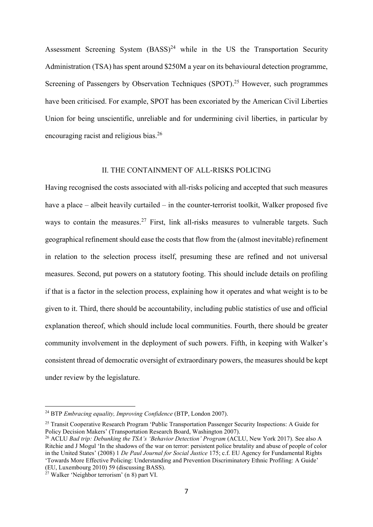Assessment Screening System  $(BASS)^{24}$  while in the US the Transportation Security Administration (TSA) has spent around \$250M a year on its behavioural detection programme, Screening of Passengers by Observation Techniques (SPOT).<sup>25</sup> However, such programmes have been criticised. For example, SPOT has been excoriated by the American Civil Liberties Union for being unscientific, unreliable and for undermining civil liberties, in particular by encouraging racist and religious bias.<sup>26</sup>

## II. THE CONTAINMENT OF ALL-RISKS POLICING

Having recognised the costs associated with all-risks policing and accepted that such measures have a place – albeit heavily curtailed – in the counter-terrorist toolkit, Walker proposed five ways to contain the measures.<sup>27</sup> First, link all-risks measures to vulnerable targets. Such geographical refinement should ease the costs that flow from the (almost inevitable) refinement in relation to the selection process itself, presuming these are refined and not universal measures. Second, put powers on a statutory footing. This should include details on profiling if that is a factor in the selection process, explaining how it operates and what weight is to be given to it. Third, there should be accountability, including public statistics of use and official explanation thereof, which should include local communities. Fourth, there should be greater community involvement in the deployment of such powers. Fifth, in keeping with Walker's consistent thread of democratic oversight of extraordinary powers, the measures should be kept under review by the legislature.

<sup>24</sup> BTP *Embracing equality, Improving Confidence* (BTP, London 2007).

<sup>&</sup>lt;sup>25</sup> Transit Cooperative Research Program 'Public Transportation Passenger Security Inspections: A Guide for Policy Decision Makers' (Transportation Research Board, Washington 2007).

<sup>26</sup> ACLU *Bad trip: Debunking the TSA's 'Behavior Detection' Program* (ACLU, New York 2017). See also A Ritchie and J Mogul 'In the shadows of the war on terror: persistent police brutality and abuse of people of color in the United States' (2008) 1 *De Paul Journal for Social Justice* 175; c.f. EU Agency for Fundamental Rights 'Towards More Effective Policing: Understanding and Prevention Discriminatory Ethnic Profiling: A Guide' (EU, Luxembourg 2010) 59 (discussing BASS).

<sup>27</sup> Walker 'Neighbor terrorism' (n [8\)](#page-1-0) part VI.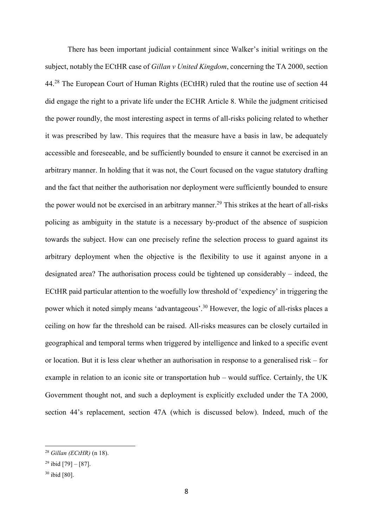There has been important judicial containment since Walker's initial writings on the subject, notably the ECtHR case of *Gillan v United Kingdom*, concerning the TA 2000, section 44.<sup>28</sup> The European Court of Human Rights (ECtHR) ruled that the routine use of section 44 did engage the right to a private life under the ECHR Article 8. While the judgment criticised the power roundly, the most interesting aspect in terms of all-risks policing related to whether it was prescribed by law. This requires that the measure have a basis in law, be adequately accessible and foreseeable, and be sufficiently bounded to ensure it cannot be exercised in an arbitrary manner. In holding that it was not, the Court focused on the vague statutory drafting and the fact that neither the authorisation nor deployment were sufficiently bounded to ensure the power would not be exercised in an arbitrary manner.<sup>29</sup> This strikes at the heart of all-risks policing as ambiguity in the statute is a necessary by-product of the absence of suspicion towards the subject. How can one precisely refine the selection process to guard against its arbitrary deployment when the objective is the flexibility to use it against anyone in a designated area? The authorisation process could be tightened up considerably – indeed, the ECtHR paid particular attention to the woefully low threshold of 'expediency' in triggering the power which it noted simply means 'advantageous'.<sup>30</sup> However, the logic of all-risks places a ceiling on how far the threshold can be raised. All-risks measures can be closely curtailed in geographical and temporal terms when triggered by intelligence and linked to a specific event or location. But it is less clear whether an authorisation in response to a generalised risk – for example in relation to an iconic site or transportation hub – would suffice. Certainly, the UK Government thought not, and such a deployment is explicitly excluded under the TA 2000, section 44's replacement, section 47A (which is discussed below). Indeed, much of the

<sup>28</sup> *Gillan (ECtHR)* (n [18\)](#page-4-0).

<sup>&</sup>lt;sup>29</sup> ibid [79] – [87].

<sup>30</sup> ibid [80].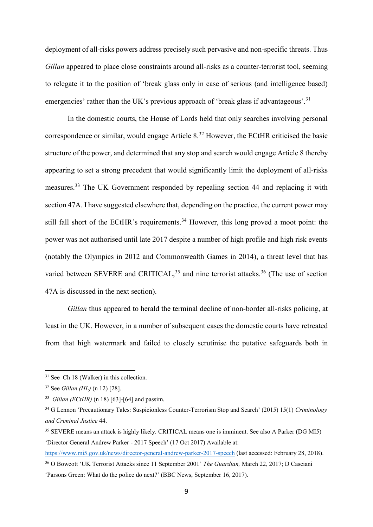deployment of all-risks powers address precisely such pervasive and non-specific threats. Thus *Gillan* appeared to place close constraints around all-risks as a counter-terrorist tool, seeming to relegate it to the position of 'break glass only in case of serious (and intelligence based) emergencies' rather than the UK's previous approach of 'break glass if advantageous'.<sup>31</sup>

In the domestic courts, the House of Lords held that only searches involving personal correspondence or similar, would engage Article 8.<sup>32</sup> However, the ECtHR criticised the basic structure of the power, and determined that any stop and search would engage Article 8 thereby appearing to set a strong precedent that would significantly limit the deployment of all-risks measures.<sup>33</sup> The UK Government responded by repealing section 44 and replacing it with section 47A. I have suggested elsewhere that, depending on the practice, the current power may still fall short of the ECtHR's requirements.<sup>34</sup> However, this long proved a moot point: the power was not authorised until late 2017 despite a number of high profile and high risk events (notably the Olympics in 2012 and Commonwealth Games in 2014), a threat level that has varied between SEVERE and CRITICAL,  $35$  and nine terrorist attacks.  $36$  (The use of section 47A is discussed in the next section).

<span id="page-8-0"></span>*Gillan* thus appeared to herald the terminal decline of non-border all-risks policing, at least in the UK. However, in a number of subsequent cases the domestic courts have retreated from that high watermark and failed to closely scrutinise the putative safeguards both in

<sup>&</sup>lt;sup>31</sup> See Ch 18 (Walker) in this collection.

<sup>32</sup> See *Gillan (HL)* (n [12\)](#page-2-0) [28].

<sup>33</sup> *Gillan (ECtHR)* (n [18\)](#page-4-0) [63]-[64] and passim.

<sup>34</sup> G Lennon 'Precautionary Tales: Suspicionless Counter-Terrorism Stop and Search' (2015) 15(1) *Criminology and Criminal Justice* 44.

<sup>35</sup> SEVERE means an attack is highly likely. CRITICAL means one is imminent. See also A Parker (DG MI5) 'Director General Andrew Parker - 2017 Speech' (17 Oct 2017) Available at:

<https://www.mi5.gov.uk/news/director-general-andrew-parker-2017-speech> (last accessed: February 28, 2018). <sup>36</sup> O Bowcott 'UK Terrorist Attacks since 11 September 2001' *The Guardian,* March 22, 2017; D Casciani

<sup>&#</sup>x27;Parsons Green: What do the police do next?' (BBC News, September 16, 2017).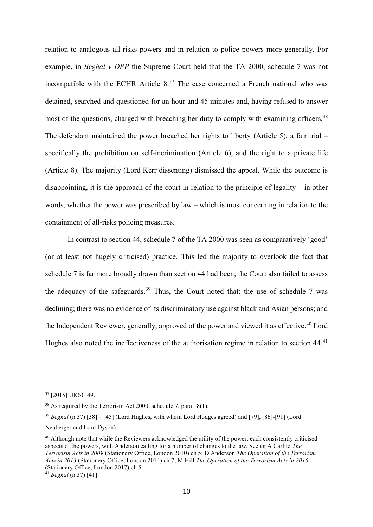<span id="page-9-0"></span>relation to analogous all-risks powers and in relation to police powers more generally. For example, in *Beghal v DPP* the Supreme Court held that the TA 2000, schedule 7 was not incompatible with the ECHR Article  $8^{37}$  The case concerned a French national who was detained, searched and questioned for an hour and 45 minutes and, having refused to answer most of the questions, charged with breaching her duty to comply with examining officers.<sup>38</sup> The defendant maintained the power breached her rights to liberty (Article 5), a fair trial – specifically the prohibition on self-incrimination (Article 6), and the right to a private life (Article 8). The majority (Lord Kerr dissenting) dismissed the appeal. While the outcome is disappointing, it is the approach of the court in relation to the principle of legality – in other words, whether the power was prescribed by law – which is most concerning in relation to the containment of all-risks policing measures.

<span id="page-9-1"></span>In contrast to section 44, schedule 7 of the TA 2000 was seen as comparatively 'good' (or at least not hugely criticised) practice. This led the majority to overlook the fact that schedule 7 is far more broadly drawn than section 44 had been; the Court also failed to assess the adequacy of the safeguards.<sup>39</sup> Thus, the Court noted that: the use of schedule 7 was declining; there was no evidence of its discriminatory use against black and Asian persons; and the Independent Reviewer, generally, approved of the power and viewed it as effective.<sup>40</sup> Lord Hughes also noted the ineffectiveness of the authorisation regime in relation to section  $44$ ,  $41$ 

<sup>&</sup>lt;sup>37</sup> [2015] UKSC 49.

<sup>38</sup> As required by the Terrorism Act 2000, schedule 7, para 18(1).

<sup>39</sup> *Beghal* ([n 37\)](#page-9-0) [38] – [45] (Lord Hughes, with whom Lord Hodges agreed) and [79], [86]-[91] (Lord Neuberger and Lord Dyson).

<sup>40</sup> Although note that while the Reviewers acknowledged the utility of the power, each consistently criticised aspects of the powers, with Anderson calling for a number of changes to the law. See eg A Carlile *The Terrorism Acts in 2009* (Stationery Office, London 2010) ch 5; D Anderson *The Operation of the Terrorism Acts in 2013* (Stationery Office, London 2014) ch 7; M Hill *The Operation of the Terrorism Acts in 2016* (Stationery Office, London 2017) ch 5.

<sup>41</sup> *Beghal* ([n 37\)](#page-9-0) [41].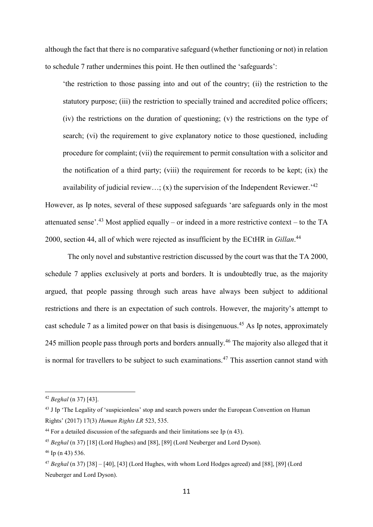although the fact that there is no comparative safeguard (whether functioning or not) in relation to schedule 7 rather undermines this point. He then outlined the 'safeguards':

'the restriction to those passing into and out of the country; (ii) the restriction to the statutory purpose; (iii) the restriction to specially trained and accredited police officers; (iv) the restrictions on the duration of questioning; (v) the restrictions on the type of search; (vi) the requirement to give explanatory notice to those questioned, including procedure for complaint; (vii) the requirement to permit consultation with a solicitor and the notification of a third party; (viii) the requirement for records to be kept; (ix) the availability of judicial review...; (x) the supervision of the Independent Reviewer.<sup>242</sup>

<span id="page-10-0"></span>However, as Ip notes, several of these supposed safeguards 'are safeguards only in the most attenuated sense'.<sup>43</sup> Most applied equally – or indeed in a more restrictive context – to the TA 2000, section 44, all of which were rejected as insufficient by the ECtHR in *Gillan*. 44

The only novel and substantive restriction discussed by the court was that the TA 2000, schedule 7 applies exclusively at ports and borders. It is undoubtedly true, as the majority argued, that people passing through such areas have always been subject to additional restrictions and there is an expectation of such controls. However, the majority's attempt to cast schedule 7 as a limited power on that basis is disingenuous. <sup>45</sup> As Ip notes, approximately 245 million people pass through ports and borders annually.<sup>46</sup> The majority also alleged that it is normal for travellers to be subject to such examinations.<sup>47</sup> This assertion cannot stand with

<sup>42</sup> *Beghal* ([n 37\)](#page-9-0) [43].

<sup>&</sup>lt;sup>43</sup> J Ip 'The Legality of 'suspicionless' stop and search powers under the European Convention on Human Rights' (2017) 17(3) *Human Rights LR* 523, 535.

<sup>44</sup> For a detailed discussion of the safeguards and their limitations see Ip (n [43\)](#page-10-0).

<sup>45</sup> *Beghal* ([n 37\)](#page-9-0) [18] (Lord Hughes) and [88], [89] (Lord Neuberger and Lord Dyson).

 $46$  Ip ([n 43\)](#page-10-0) 536.

<sup>47</sup> *Beghal* ([n 37\)](#page-9-0) [38] – [40], [43] (Lord Hughes, with whom Lord Hodges agreed) and [88], [89] (Lord Neuberger and Lord Dyson).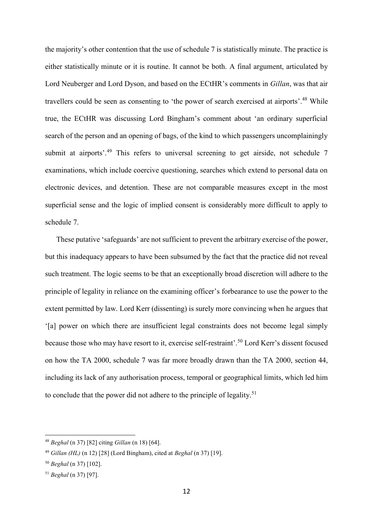the majority's other contention that the use of schedule 7 is statistically minute. The practice is either statistically minute or it is routine. It cannot be both. A final argument, articulated by Lord Neuberger and Lord Dyson, and based on the ECtHR's comments in *Gillan*, was that air travellers could be seen as consenting to 'the power of search exercised at airports'.<sup>48</sup> While true, the ECtHR was discussing Lord Bingham's comment about 'an ordinary superficial search of the person and an opening of bags, of the kind to which passengers uncomplainingly submit at airports'.<sup>49</sup> This refers to universal screening to get airside, not schedule 7 examinations, which include coercive questioning, searches which extend to personal data on electronic devices, and detention. These are not comparable measures except in the most superficial sense and the logic of implied consent is considerably more difficult to apply to schedule 7.

These putative 'safeguards' are not sufficient to prevent the arbitrary exercise of the power, but this inadequacy appears to have been subsumed by the fact that the practice did not reveal such treatment. The logic seems to be that an exceptionally broad discretion will adhere to the principle of legality in reliance on the examining officer's forbearance to use the power to the extent permitted by law. Lord Kerr (dissenting) is surely more convincing when he argues that '[a] power on which there are insufficient legal constraints does not become legal simply because those who may have resort to it, exercise self-restraint'. <sup>50</sup> Lord Kerr's dissent focused on how the TA 2000, schedule 7 was far more broadly drawn than the TA 2000, section 44, including its lack of any authorisation process, temporal or geographical limits, which led him to conclude that the power did not adhere to the principle of legality.<sup>51</sup>

<sup>48</sup> *Beghal* ([n 37\)](#page-9-0) [82] citing *Gillan* (n [18\)](#page-4-0) [64].

<sup>49</sup> *Gillan (HL)* (n [12\)](#page-2-0) [28] (Lord Bingham), cited at *Beghal* (n [37\)](#page-9-0) [19].

<sup>50</sup> *Beghal* ([n 37\)](#page-9-0) [102].

<sup>51</sup> *Beghal* ([n 37\)](#page-9-0) [97].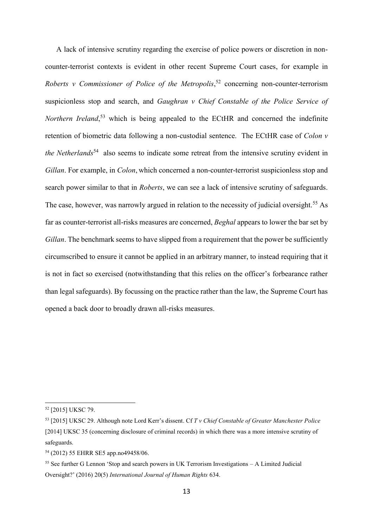A lack of intensive scrutiny regarding the exercise of police powers or discretion in noncounter-terrorist contexts is evident in other recent Supreme Court cases, for example in *Roberts v Commissioner of Police of the Metropolis*, <sup>52</sup> concerning non-counter-terrorism suspicionless stop and search, and *Gaughran v Chief Constable of the Police Service of Northern Ireland*, <sup>53</sup> which is being appealed to the ECtHR and concerned the indefinite retention of biometric data following a non-custodial sentence. The ECtHR case of *Colon v the Netherlands*<sup>54</sup> also seems to indicate some retreat from the intensive scrutiny evident in *Gillan*. For example, in *Colon*, which concerned a non-counter-terrorist suspicionless stop and search power similar to that in *Roberts*, we can see a lack of intensive scrutiny of safeguards. The case, however, was narrowly argued in relation to the necessity of judicial oversight.<sup>55</sup> As far as counter-terrorist all-risks measures are concerned, *Beghal* appears to lower the bar set by *Gillan*. The benchmark seems to have slipped from a requirement that the power be sufficiently circumscribed to ensure it cannot be applied in an arbitrary manner, to instead requiring that it is not in fact so exercised (notwithstanding that this relies on the officer's forbearance rather than legal safeguards). By focussing on the practice rather than the law, the Supreme Court has opened a back door to broadly drawn all-risks measures.

<sup>52</sup> [2015] UKSC 79.

<sup>53</sup> [2015] UKSC 29. Although note Lord Kerr's dissent. Cf *T v Chief Constable of Greater Manchester Police*  [2014] UKSC 35 (concerning disclosure of criminal records) in which there was a more intensive scrutiny of safeguards.

<sup>54</sup> (2012) 55 EHRR SE5 app.no49458/06.

<sup>55</sup> See further G Lennon 'Stop and search powers in UK Terrorism Investigations – A Limited Judicial Oversight?' (2016) 20(5) *International Journal of Human Rights* 634.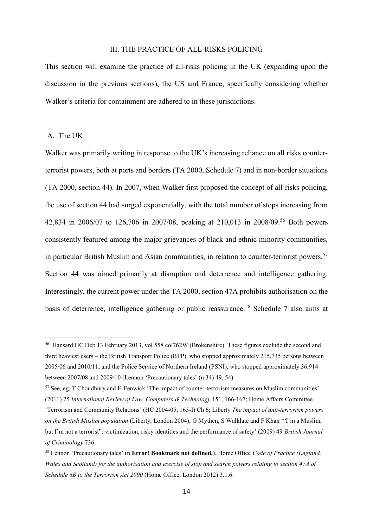## III. THE PRACTICE OF ALL-RISKS POLICING

This section will examine the practice of all-risks policing in the UK (expanding upon the discussion in the previous sections), the US and France, specifically considering whether Walker's criteria for containment are adhered to in these jurisdictions.

## A. The UK

-

Walker was primarily writing in response to the UK's increasing reliance on all risks counterterrorist powers, both at ports and borders (TA 2000, Schedule 7) and in non-border situations (TA 2000, section 44). In 2007, when Walker first proposed the concept of all-risks policing, the use of section 44 had surged exponentially, with the total number of stops increasing from 42,834 in 2006/07 to 126,706 in 2007/08, peaking at 210,013 in 2008/09.<sup>56</sup> Both powers consistently featured among the major grievances of black and ethnic minority communities, in particular British Muslim and Asian communities, in relation to counter-terrorist powers.<sup>57</sup> Section 44 was aimed primarily at disruption and deterrence and intelligence gathering. Interestingly, the current power under the TA 2000, section 47A prohibits authorisation on the basis of deterrence, intelligence gathering or public reassurance.<sup>58</sup> Schedule 7 also aims at

<sup>56</sup> Hansard HC Deb 13 February 2013, vol 558 col762W (Brokenshire). These figures exclude the second and third heaviest users – the British Transport Police (BTP), who stopped approximately 215,735 persons between 2005/06 and 2010/11, and the Police Service of Northern Ireland (PSNI), who stopped approximately 36,914 between 2007/08 and 2009/10 (Lennon 'Precautionary tales' (n 34) 49, 54).

<sup>57</sup> See, eg, T Choudhury and H Fenwick 'The impact of counter-terrorism measures on Muslim communities' (2011) 25 *International Review of Law, Computers & Technology* 151, 166-167; Home Affairs Committee

<sup>&#</sup>x27;Terrorism and Community Relations' (HC 2004-05, 165-I) Ch 6; Liberty *The impact of anti-terrorism powers on the British Muslim population* (Liberty, London 2004); G Mythen, S Walklate and F Khan '"I'm a Muslim, but I'm not a terrorist": victimization, risky identities and the performance of safety' (2009) 49 *British Journal of Criminology* 736.

<sup>58</sup> Lennon 'Precautionary tales' (n **Error! Bookmark not defined.**). Home Office *Code of Practice (England, Wales and Scotland) for the authorisation and exercise of stop and search powers relating to section 47A of Schedule 6B to the Terrorism Act 2000* (Home Office, London 2012) 3.1.6.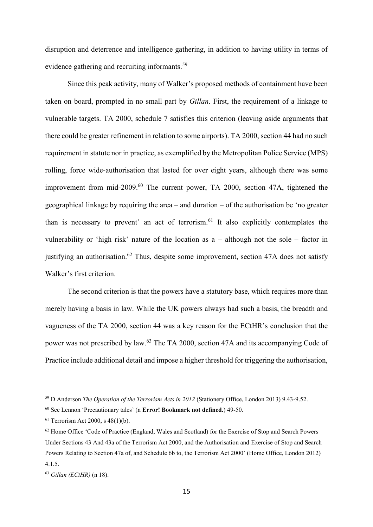disruption and deterrence and intelligence gathering, in addition to having utility in terms of evidence gathering and recruiting informants.<sup>59</sup>

Since this peak activity, many of Walker's proposed methods of containment have been taken on board, prompted in no small part by *Gillan*. First, the requirement of a linkage to vulnerable targets. TA 2000, schedule 7 satisfies this criterion (leaving aside arguments that there could be greater refinement in relation to some airports). TA 2000, section 44 had no such requirement in statute nor in practice, as exemplified by the Metropolitan Police Service (MPS) rolling, force wide-authorisation that lasted for over eight years, although there was some improvement from mid-2009.<sup>60</sup> The current power, TA 2000, section 47A, tightened the geographical linkage by requiring the area – and duration – of the authorisation be 'no greater than is necessary to prevent' an act of terrorism.<sup>61</sup> It also explicitly contemplates the vulnerability or 'high risk' nature of the location as a – although not the sole – factor in justifying an authorisation.<sup>62</sup> Thus, despite some improvement, section  $47A$  does not satisfy Walker's first criterion.

<span id="page-14-0"></span>The second criterion is that the powers have a statutory base, which requires more than merely having a basis in law. While the UK powers always had such a basis, the breadth and vagueness of the TA 2000, section 44 was a key reason for the ECtHR's conclusion that the power was not prescribed by law.<sup>63</sup> The TA 2000, section 47A and its accompanying Code of Practice include additional detail and impose a higher threshold for triggering the authorisation,

<sup>59</sup> D Anderson *The Operation of the Terrorism Acts in 2012* (Stationery Office, London 2013) 9.43-9.52.

<sup>60</sup> See Lennon 'Precautionary tales' (n **Error! Bookmark not defined.**) 49-50.

<sup>61</sup> Terrorism Act 2000, s 48(1)(b).

<sup>&</sup>lt;sup>62</sup> Home Office 'Code of Practice (England, Wales and Scotland) for the Exercise of Stop and Search Powers Under Sections 43 And 43a of the Terrorism Act 2000, and the Authorisation and Exercise of Stop and Search Powers Relating to Section 47a of, and Schedule 6b to, the Terrorism Act 2000' (Home Office, London 2012) 4.1.5.

<sup>63</sup> *Gillan (ECtHR)* (n [18\)](#page-4-0).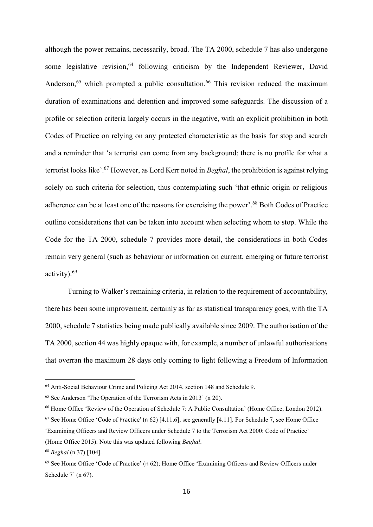<span id="page-15-0"></span>although the power remains, necessarily, broad. The TA 2000, schedule 7 has also undergone some legislative revision.<sup>64</sup> following criticism by the Independent Reviewer, David Anderson,<sup>65</sup> which prompted a public consultation.<sup>66</sup> This revision reduced the maximum duration of examinations and detention and improved some safeguards. The discussion of a profile or selection criteria largely occurs in the negative, with an explicit prohibition in both Codes of Practice on relying on any protected characteristic as the basis for stop and search and a reminder that 'a terrorist can come from any background; there is no profile for what a terrorist looks like'.<sup>67</sup> However, as Lord Kerr noted in *Beghal*, the prohibition is against relying solely on such criteria for selection, thus contemplating such 'that ethnic origin or religious adherence can be at least one of the reasons for exercising the power'.<sup>68</sup> Both Codes of Practice outline considerations that can be taken into account when selecting whom to stop. While the Code for the TA 2000, schedule 7 provides more detail, the considerations in both Codes remain very general (such as behaviour or information on current, emerging or future terrorist activity).<sup>69</sup>

Turning to Walker's remaining criteria, in relation to the requirement of accountability, there has been some improvement, certainly as far as statistical transparency goes, with the TA 2000, schedule 7 statistics being made publically available since 2009. The authorisation of the TA 2000, section 44 was highly opaque with, for example, a number of unlawful authorisations that overran the maximum 28 days only coming to light following a Freedom of Information

<sup>64</sup> Anti-Social Behaviour Crime and Policing Act 2014, section 148 and Schedule 9.

<sup>65</sup> See Anderson 'The Operation of the Terrorism Acts in 2013' (n [20\)](#page-5-0).

<sup>&</sup>lt;sup>66</sup> Home Office 'Review of the Operation of Schedule 7: A Public Consultation' (Home Office, London 2012).

<sup>67</sup> See Home Office 'Code of Practice' (n [62\)](#page-14-0) [4.11.6], see generally [4.11]. For Schedule 7, see Home Office 'Examining Officers and Review Officers under Schedule 7 to the Terrorism Act 2000: Code of Practice' (Home Office 2015). Note this was updated following *Beghal*.

<sup>68</sup> *Beghal* ([n 37\)](#page-9-0) [104].

 $69$  See Home Office 'Code of Practice' (n [62\)](#page-14-0); Home Office 'Examining Officers and Review Officers under Schedule 7' (n [67\)](#page-15-0).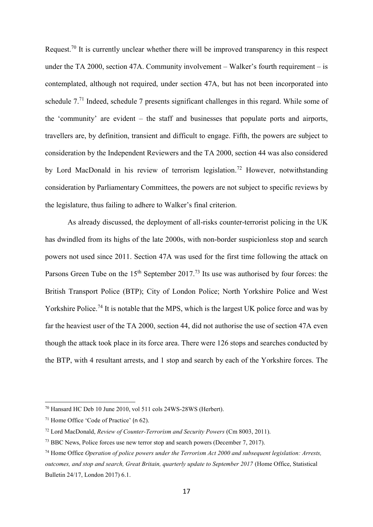Request.<sup>70</sup> It is currently unclear whether there will be improved transparency in this respect under the TA 2000, section 47A. Community involvement – Walker's fourth requirement – is contemplated, although not required, under section 47A, but has not been incorporated into schedule 7.<sup>71</sup> Indeed, schedule 7 presents significant challenges in this regard. While some of the 'community' are evident – the staff and businesses that populate ports and airports, travellers are, by definition, transient and difficult to engage. Fifth, the powers are subject to consideration by the Independent Reviewers and the TA 2000, section 44 was also considered by Lord MacDonald in his review of terrorism legislation.<sup>72</sup> However, notwithstanding consideration by Parliamentary Committees, the powers are not subject to specific reviews by the legislature, thus failing to adhere to Walker's final criterion.

As already discussed, the deployment of all-risks counter-terrorist policing in the UK has dwindled from its highs of the late 2000s, with non-border suspicionless stop and search powers not used since 2011. Section 47A was used for the first time following the attack on Parsons Green Tube on the 15<sup>th</sup> September 2017.<sup>73</sup> Its use was authorised by four forces: the British Transport Police (BTP); City of London Police; North Yorkshire Police and West Yorkshire Police.<sup>74</sup> It is notable that the MPS, which is the largest UK police force and was by far the heaviest user of the TA 2000, section 44, did not authorise the use of section 47A even though the attack took place in its force area. There were 126 stops and searches conducted by the BTP, with 4 resultant arrests, and 1 stop and search by each of the Yorkshire forces. The

<sup>70</sup> Hansard HC Deb 10 June 2010, vol 511 cols 24WS-28WS (Herbert).

<sup>71</sup> Home Office 'Code of Practice' (n [62\)](#page-14-0).

<sup>72</sup> Lord MacDonald, *Review of Counter-Terrorism and Security Powers* (Cm 8003, 2011).

<sup>&</sup>lt;sup>73</sup> BBC News, Police forces use new terror stop and search powers (December 7, 2017).

<sup>74</sup> Home Office *Operation of police powers under the Terrorism Act 2000 and subsequent legislation: Arrests, outcomes, and stop and search, Great Britain, quarterly update to September 2017* (Home Office, Statistical Bulletin 24/17, London 2017) 6.1.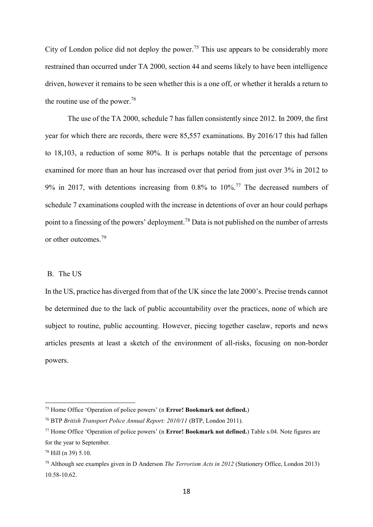City of London police did not deploy the power.<sup>75</sup> This use appears to be considerably more restrained than occurred under TA 2000, section 44 and seems likely to have been intelligence driven, however it remains to be seen whether this is a one off, or whether it heralds a return to the routine use of the power. 76

The use of the TA 2000, schedule 7 has fallen consistently since 2012. In 2009, the first year for which there are records, there were 85,557 examinations. By 2016/17 this had fallen to 18,103, a reduction of some 80%. It is perhaps notable that the percentage of persons examined for more than an hour has increased over that period from just over 3% in 2012 to 9% in 2017, with detentions increasing from 0.8% to 10%. <sup>77</sup> The decreased numbers of schedule 7 examinations coupled with the increase in detentions of over an hour could perhaps point to a finessing of the powers' deployment.<sup>78</sup> Data is not published on the number of arrests or other outcomes. 79

### B. The US

In the US, practice has diverged from that of the UK since the late 2000's. Precise trends cannot be determined due to the lack of public accountability over the practices, none of which are subject to routine, public accounting. However, piecing together caselaw, reports and news articles presents at least a sketch of the environment of all-risks, focusing on non-border powers.

<sup>75</sup> Home Office 'Operation of police powers' (n **Error! Bookmark not defined.**)

<sup>76</sup> BTP *British Transport Police Annual Report: 2010/11* (BTP, London 2011).

<sup>77</sup> Home Office 'Operation of police powers' (n **Error! Bookmark not defined.**) Table s.04. Note figures are for the year to September.

<sup>78</sup> Hill (n [39\)](#page-9-1) 5.10.

<sup>79</sup> Although see examples given in D Anderson *The Terrorism Acts in 2012* (Stationery Office, London 2013) 10.58-10.62.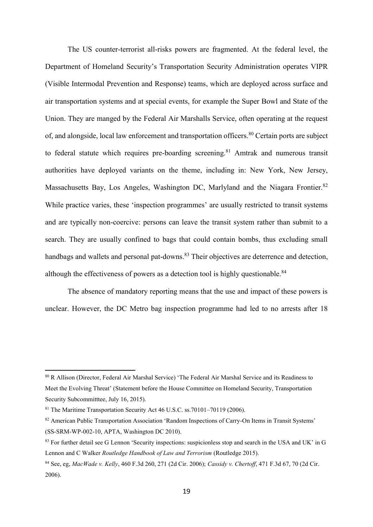The US counter-terrorist all-risks powers are fragmented. At the federal level, the Department of Homeland Security's Transportation Security Administration operates VIPR (Visible Intermodal Prevention and Response) teams, which are deployed across surface and air transportation systems and at special events, for example the Super Bowl and State of the Union. They are manged by the Federal Air Marshalls Service, often operating at the request of, and alongside, local law enforcement and transportation officers.<sup>80</sup> Certain ports are subject to federal statute which requires pre-boarding screening.<sup>81</sup> Amtrak and numerous transit authorities have deployed variants on the theme, including in: New York, New Jersey, Massachusetts Bay, Los Angeles, Washington DC, Marlyland and the Niagara Frontier.<sup>82</sup> While practice varies, these 'inspection programmes' are usually restricted to transit systems and are typically non-coercive: persons can leave the transit system rather than submit to a search. They are usually confined to bags that could contain bombs, thus excluding small handbags and wallets and personal pat-downs.<sup>83</sup> Their objectives are deterrence and detection, although the effectiveness of powers as a detection tool is highly questionable.<sup>84</sup>

<span id="page-18-0"></span>The absence of mandatory reporting means that the use and impact of these powers is unclear. However, the DC Metro bag inspection programme had led to no arrests after 18

<sup>80</sup> R Allison (Director, Federal Air Marshal Service) 'The Federal Air Marshal Service and its Readiness to Meet the Evolving Threat' (Statement before the House Committee on Homeland Security, Transportation Security Subcommittee, July 16, 2015).

<sup>81</sup> The Maritime Transportation Security Act 46 U.S.C. ss.70101–70119 (2006).

<sup>&</sup>lt;sup>82</sup> American Public Transportation Association 'Random Inspections of Carry-On Items in Transit Systems' (SS-SRM-WP-002-10, APTA, Washington DC 2010).

<sup>&</sup>lt;sup>83</sup> For further detail see G Lennon 'Security inspections: suspicionless stop and search in the USA and UK' in G Lennon and C Walker *Routledge Handbook of Law and Terrorism* (Routledge 2015).

<sup>84</sup> See, eg, *MacWade v. Kelly*, 460 F.3d 260, 271 (2d Cir. 2006); *Cassidy v. Chertoff*, 471 F.3d 67, 70 (2d Cir. 2006).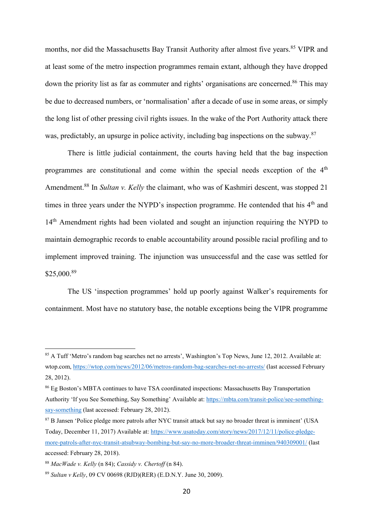months, nor did the Massachusetts Bay Transit Authority after almost five years.<sup>85</sup> VIPR and at least some of the metro inspection programmes remain extant, although they have dropped down the priority list as far as commuter and rights' organisations are concerned.<sup>86</sup> This may be due to decreased numbers, or 'normalisation' after a decade of use in some areas, or simply the long list of other pressing civil rights issues. In the wake of the Port Authority attack there was, predictably, an upsurge in police activity, including bag inspections on the subway.<sup>87</sup>

There is little judicial containment, the courts having held that the bag inspection programmes are constitutional and come within the special needs exception of the 4<sup>th</sup> Amendment.<sup>88</sup> In *Sultan v. Kelly* the claimant, who was of Kashmiri descent, was stopped 21 times in three years under the NYPD's inspection programme. He contended that his  $4<sup>th</sup>$  and 14<sup>th</sup> Amendment rights had been violated and sought an injunction requiring the NYPD to maintain demographic records to enable accountability around possible racial profiling and to implement improved training. The injunction was unsuccessful and the case was settled for \$25,000.<sup>89</sup>

The US 'inspection programmes' hold up poorly against Walker's requirements for containment. Most have no statutory base, the notable exceptions being the VIPR programme

<sup>&</sup>lt;sup>85</sup> A Tuff 'Metro's random bag searches net no arrests', Washington's Top News, June 12, 2012. Available at: wtop.com[, https://wtop.com/news/2012/06/metros-random-bag-searches-net-no-arrests/](https://wtop.com/news/2012/06/metros-random-bag-searches-net-no-arrests/) (last accessed February 28, 2012).

<sup>86</sup> Eg Boston's MBTA continues to have TSA coordinated inspections: Massachusetts Bay Transportation Authority 'If you See Something, Say Something' Available at: [https://mbta.com/transit-police/see-something](https://mbta.com/transit-police/see-something-say-something)[say-something](https://mbta.com/transit-police/see-something-say-something) (last accessed: February 28, 2012).

<sup>87</sup> B Jansen 'Police pledge more patrols after NYC transit attack but say no broader threat is imminent' (USA Today, December 11, 2017) Available at: [https://www.usatoday.com/story/news/2017/12/11/police-pledge](https://www.usatoday.com/story/news/2017/12/11/police-pledge-more-patrols-after-nyc-transit-atsubway-bombing-but-say-no-more-broader-threat-imminen/940309001/)[more-patrols-after-nyc-transit-atsubway-bombing-but-say-no-more-broader-threat-imminen/940309001/](https://www.usatoday.com/story/news/2017/12/11/police-pledge-more-patrols-after-nyc-transit-atsubway-bombing-but-say-no-more-broader-threat-imminen/940309001/) (last accessed: February 28, 2018).

<sup>88</sup> *MacWade v. Kelly* (n [84\)](#page-18-0); *Cassidy v. Chertoff* (n [84\)](#page-18-0).

<sup>89</sup> *Sultan v Kelly*, 09 CV 00698 (RJD)(RER) (E.D.N.Y. June 30, 2009).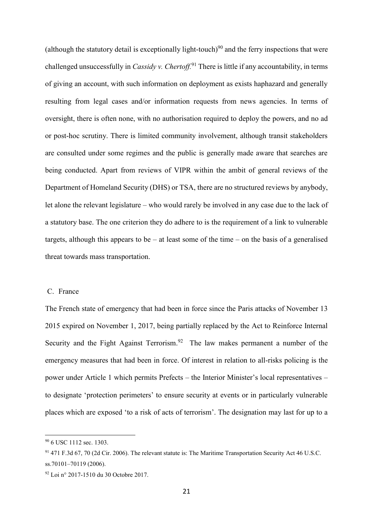(although the statutory detail is exceptionally light-touch)<sup>90</sup> and the ferry inspections that were challenged unsuccessfully in *Cassidy v. Chertoff.*<sup>91</sup> There is little if any accountability, in terms of giving an account, with such information on deployment as exists haphazard and generally resulting from legal cases and/or information requests from news agencies. In terms of oversight, there is often none, with no authorisation required to deploy the powers, and no ad or post-hoc scrutiny. There is limited community involvement, although transit stakeholders are consulted under some regimes and the public is generally made aware that searches are being conducted. Apart from reviews of VIPR within the ambit of general reviews of the Department of Homeland Security (DHS) or TSA, there are no structured reviews by anybody, let alone the relevant legislature – who would rarely be involved in any case due to the lack of a statutory base. The one criterion they do adhere to is the requirement of a link to vulnerable targets, although this appears to be – at least some of the time – on the basis of a generalised threat towards mass transportation.

## C. France

The French state of emergency that had been in force since the Paris attacks of November 13 2015 expired on November 1, 2017, being partially replaced by the Act to Reinforce Internal Security and the Fight Against Terrorism.<sup>92</sup> The law makes permanent a number of the emergency measures that had been in force. Of interest in relation to all-risks policing is the power under Article 1 which permits Prefects – the Interior Minister's local representatives – to designate 'protection perimeters' to ensure security at events or in particularly vulnerable places which are exposed 'to a risk of acts of terrorism'. The designation may last for up to a

<sup>90</sup> 6 USC 1112 sec. 1303.

<sup>91</sup> 471 F.3d 67, 70 (2d Cir. 2006). The relevant statute is: The Maritime Transportation Security Act 46 U.S.C. ss.70101–70119 (2006).

<sup>92</sup> Loi n° 2017-1510 du 30 Octobre 2017.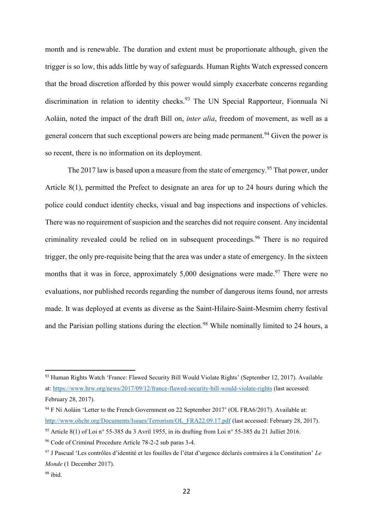month and is renewable. The duration and extent must be proportionate although, given the trigger is so low, this adds little by way of safeguards. Human Rights Watch expressed concern that the broad discretion afforded by this power would simply exacerbate concerns regarding discrimination in relation to identity checks.<sup>93</sup> The UN Special Rapporteur, Fionnuala Ní Aoláin, noted the impact of the draft Bill on, *inter alia*, freedom of movement, as well as a general concern that such exceptional powers are being made permanent.<sup>94</sup> Given the power is so recent, there is no information on its deployment.

The 2017 law is based upon a measure from the state of emergency.<sup>95</sup> That power, under Article 8(1), permitted the Prefect to designate an area for up to 24 hours during which the police could conduct identity checks, visual and bag inspections and inspections of vehicles. There was no requirement of suspicion and the searches did not require consent. Any incidental criminality revealed could be relied on in subsequent proceedings.<sup>96</sup> There is no required trigger, the only pre-requisite being that the area was under a state of emergency. In the sixteen months that it was in force, approximately 5,000 designations were made.<sup>97</sup> There were no evaluations, nor published records regarding the number of dangerous items found, nor arrests made. It was deployed at events as diverse as the Saint-Hilaire-Saint-Mesmim cherry festival and the Parisian polling stations during the election.<sup>98</sup> While nominally limited to 24 hours, a

<sup>93</sup> Human Rights Watch 'France: Flawed Security Bill Would Violate Rights' (September 12, 2017). Available at:<https://www.hrw.org/news/2017/09/12/france-flawed-security-bill-would-violate-rights> (last accessed: February 28, 2017).

<sup>&</sup>lt;sup>94</sup> F Ní Aoláin 'Letter to the French Government on 22 September 2017' (OL FRA6/2017). Available at: [http://www.ohchr.org/Documents/Issues/Terrorism/OL\\_FRA22.09.17.pdf](http://www.ohchr.org/Documents/Issues/Terrorism/OL_FRA22.09.17.pdf) (last accessed: February 28, 2017).

<sup>95</sup> Article 8(1) of Loi n° 55-385 du 3 Avril 1955, in its drafting from Loi n° 55-385 du 21 Julliet 2016.

<sup>96</sup> Code of Criminal Procedure Article 78-2-2 sub paras 3-4.

<sup>97</sup> J Pascual 'Les contrôles d'identité et les fouilles de l'état d'urgence déclarés contraires à la Constitution' *Le Monde* (1 December 2017).

<sup>98</sup> ibid.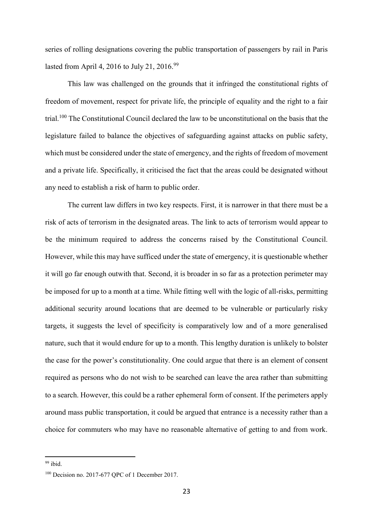series of rolling designations covering the public transportation of passengers by rail in Paris lasted from April 4, 2016 to July 21, 2016.<sup>99</sup>

This law was challenged on the grounds that it infringed the constitutional rights of freedom of movement, respect for private life, the principle of equality and the right to a fair trial.<sup>100</sup> The Constitutional Council declared the law to be unconstitutional on the basis that the legislature failed to balance the objectives of safeguarding against attacks on public safety, which must be considered under the state of emergency, and the rights of freedom of movement and a private life. Specifically, it criticised the fact that the areas could be designated without any need to establish a risk of harm to public order.

The current law differs in two key respects. First, it is narrower in that there must be a risk of acts of terrorism in the designated areas. The link to acts of terrorism would appear to be the minimum required to address the concerns raised by the Constitutional Council. However, while this may have sufficed under the state of emergency, it is questionable whether it will go far enough outwith that. Second, it is broader in so far as a protection perimeter may be imposed for up to a month at a time. While fitting well with the logic of all-risks, permitting additional security around locations that are deemed to be vulnerable or particularly risky targets, it suggests the level of specificity is comparatively low and of a more generalised nature, such that it would endure for up to a month. This lengthy duration is unlikely to bolster the case for the power's constitutionality. One could argue that there is an element of consent required as persons who do not wish to be searched can leave the area rather than submitting to a search. However, this could be a rather ephemeral form of consent. If the perimeters apply around mass public transportation, it could be argued that entrance is a necessity rather than a choice for commuters who may have no reasonable alternative of getting to and from work.

 $99$  ibid.

<sup>100</sup> Decision no. 2017-677 QPC of 1 December 2017.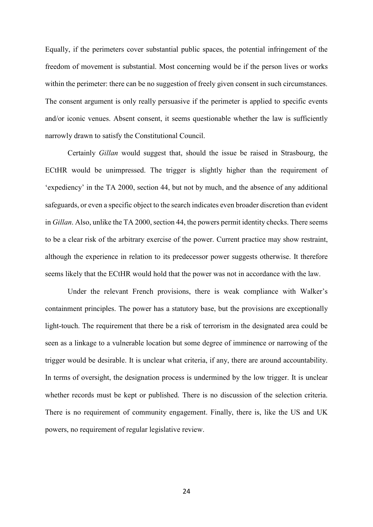Equally, if the perimeters cover substantial public spaces, the potential infringement of the freedom of movement is substantial. Most concerning would be if the person lives or works within the perimeter: there can be no suggestion of freely given consent in such circumstances. The consent argument is only really persuasive if the perimeter is applied to specific events and/or iconic venues. Absent consent, it seems questionable whether the law is sufficiently narrowly drawn to satisfy the Constitutional Council.

Certainly *Gillan* would suggest that, should the issue be raised in Strasbourg, the ECtHR would be unimpressed. The trigger is slightly higher than the requirement of 'expediency' in the TA 2000, section 44, but not by much, and the absence of any additional safeguards, or even a specific object to the search indicates even broader discretion than evident in *Gillan*. Also, unlike the TA 2000, section 44, the powers permit identity checks. There seems to be a clear risk of the arbitrary exercise of the power. Current practice may show restraint, although the experience in relation to its predecessor power suggests otherwise. It therefore seems likely that the ECtHR would hold that the power was not in accordance with the law.

Under the relevant French provisions, there is weak compliance with Walker's containment principles. The power has a statutory base, but the provisions are exceptionally light-touch. The requirement that there be a risk of terrorism in the designated area could be seen as a linkage to a vulnerable location but some degree of imminence or narrowing of the trigger would be desirable. It is unclear what criteria, if any, there are around accountability. In terms of oversight, the designation process is undermined by the low trigger. It is unclear whether records must be kept or published. There is no discussion of the selection criteria. There is no requirement of community engagement. Finally, there is, like the US and UK powers, no requirement of regular legislative review.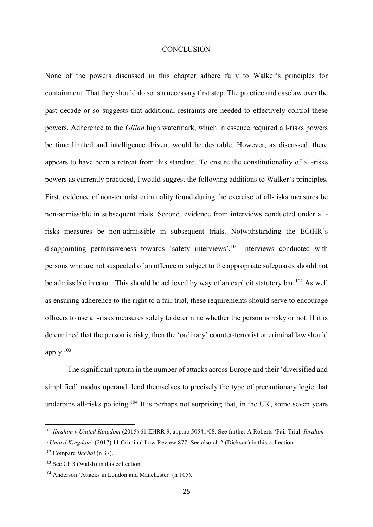#### **CONCLUSION**

None of the powers discussed in this chapter adhere fully to Walker's principles for containment. That they should do so is a necessary first step. The practice and caselaw over the past decade or so suggests that additional restraints are needed to effectively control these powers. Adherence to the *Gillan* high watermark, which in essence required all-risks powers be time limited and intelligence driven, would be desirable. However, as discussed, there appears to have been a retreat from this standard. To ensure the constitutionality of all-risks powers as currently practiced, I would suggest the following additions to Walker's principles. First, evidence of non-terrorist criminality found during the exercise of all-risks measures be non-admissible in subsequent trials. Second, evidence from interviews conducted under allrisks measures be non-admissible in subsequent trials. Notwithstanding the ECtHR's disappointing permissiveness towards 'safety interviews',<sup>101</sup> interviews conducted with persons who are not suspected of an offence or subject to the appropriate safeguards should not be admissible in court. This should be achieved by way of an explicit statutory bar.<sup>102</sup> As well as ensuring adherence to the right to a fair trial, these requirements should serve to encourage officers to use all-risks measures solely to determine whether the person is risky or not. If it is determined that the person is risky, then the 'ordinary' counter-terrorist or criminal law should apply.<sup>103</sup>

The significant upturn in the number of attacks across Europe and their 'diversified and simplified' modus operandi lend themselves to precisely the type of precautionary logic that underpins all-risks policing.<sup>104</sup> It is perhaps not surprising that, in the UK, some seven years

<sup>101</sup> *Ibrahim v United Kingdom* (2015) 61 EHRR 9, app.no 50541/08. See further A Roberts 'Fair Trial: *Ibrahim* 

*v United Kingdom*' (2017) 11 Criminal Law Review 877. See also ch 2 (Dickson) in this collection.

<sup>102</sup> Compare *Beghal* (n [37\)](#page-9-0).

<sup>103</sup> See Ch 3 (Walsh) in this collection.

<sup>104</sup> Anderson 'Attacks in London and Manchester' (n [105\)](#page-25-0).